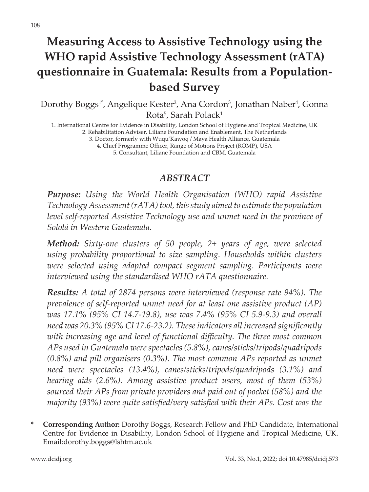# **Measuring Access to Assistive Technology using the WHO rapid Assistive Technology Assessment (rATA) questionnaire in Guatemala: Results from a Populationbased Survey**

Dorothy Boggs<sup>1\*</sup>, Angelique Kester<sup>2</sup>, Ana Cordon<sup>3</sup>, Jonathan Naber<sup>4</sup>, Gonna Rota<sup>5</sup>, Sarah Polack<sup>1</sup>

1. International Centre for Evidence in Disability, London School of Hygiene and Tropical Medicine, UK 2. Rehabilitation Adviser, Liliane Foundation and Enablement, The Netherlands

3. Doctor, formerly with Wuqu'Kawoq / Maya Health Alliance, Guatemala

4. Chief Programme Officer, Range of Motions Project (ROMP), USA

5. Consultant, Liliane Foundation and CBM, Guatemala

#### *ABSTRACT*

*Purpose: Using the World Health Organisation (WHO) rapid Assistive Technology Assessment (rATA) tool, this study aimed to estimate the population level self-reported Assistive Technology use and unmet need in the province of Sololá in Western Guatemala.*

*Method: Sixty-one clusters of 50 people, 2+ years of age, were selected using probability proportional to size sampling. Households within clusters were selected using adapted compact segment sampling. Participants were interviewed using the standardised WHO rATA questionnaire.*

*Results: A total of 2874 persons were interviewed (response rate 94%). The prevalence of self-reported unmet need for at least one assistive product (AP) was 17.1% (95% CI 14.7-19.8), use was 7.4% (95% CI 5.9-9.3) and overall need was 20.3% (95% CI 17.6-23.2). These indicators all increased significantly with increasing age and level of functional difficulty. The three most common APs used in Guatemala were spectacles (5.8%), canes/sticks/tripods/quadripods (0.8%) and pill organisers (0.3%). The most common APs reported as unmet need were spectacles (13.4%), canes/sticks/tripods/quadripods (3.1%) and hearing aids (2.6%). Among assistive product users, most of them (53%) sourced their APs from private providers and paid out of pocket (58%) and the majority (93%) were quite satisfied/very satisfied with their APs. Cost was the* 

**<sup>\*</sup> Corresponding Author:** Dorothy Boggs, Research Fellow and PhD Candidate, International Centre for Evidence in Disability, London School of Hygiene and Tropical Medicine, UK. Email:dorothy.boggs@lshtm.ac.uk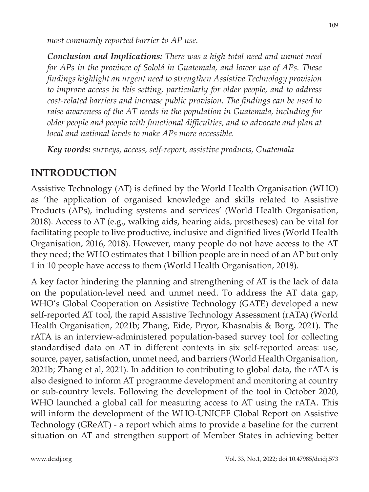*most commonly reported barrier to AP use.*

*Conclusion and Implications: There was a high total need and unmet need for APs in the province of Sololá in Guatemala, and lower use of APs. These findings highlight an urgent need to strengthen Assistive Technology provision to improve access in this setting, particularly for older people, and to address cost-related barriers and increase public provision. The findings can be used to raise awareness of the AT needs in the population in Guatemala, including for older people and people with functional difficulties, and to advocate and plan at local and national levels to make APs more accessible.* 

*Key words: surveys, access, self-report, assistive products, Guatemala*

### **INTRODUCTION**

Assistive Technology (AT) is defined by the World Health Organisation (WHO) as 'the application of organised knowledge and skills related to Assistive Products (APs), including systems and services' (World Health Organisation, 2018). Access to AT (e.g., walking aids, hearing aids, prostheses) can be vital for facilitating people to live productive, inclusive and dignified lives (World Health Organisation, 2016, 2018). However, many people do not have access to the AT they need; the WHO estimates that 1 billion people are in need of an AP but only 1 in 10 people have access to them (World Health Organisation, 2018).

A key factor hindering the planning and strengthening of AT is the lack of data on the population-level need and unmet need. To address the AT data gap, WHO's Global Cooperation on Assistive Technology (GATE) developed a new self-reported AT tool, the rapid Assistive Technology Assessment (rATA) (World Health Organisation, 2021b; Zhang, Eide, Pryor, Khasnabis & Borg, 2021). The rATA is an interview-administered population-based survey tool for collecting standardised data on AT in different contexts in six self-reported areas: use, source, payer, satisfaction, unmet need, and barriers (World Health Organisation, 2021b; Zhang et al, 2021). In addition to contributing to global data, the rATA is also designed to inform AT programme development and monitoring at country or sub-country levels. Following the development of the tool in October 2020, WHO launched a global call for measuring access to AT using the rATA. This will inform the development of the WHO-UNICEF Global Report on Assistive Technology (GReAT) - a report which aims to provide a baseline for the current situation on AT and strengthen support of Member States in achieving better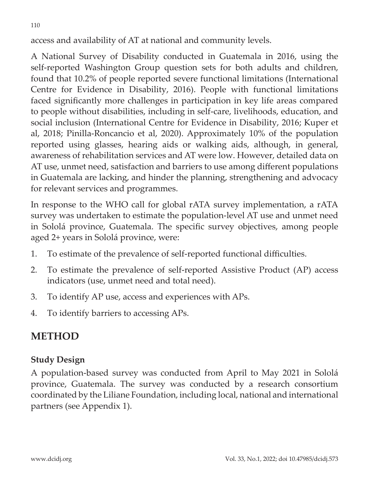access and availability of AT at national and community levels.

A National Survey of Disability conducted in Guatemala in 2016, using the self-reported Washington Group question sets for both adults and children, found that 10.2% of people reported severe functional limitations (International Centre for Evidence in Disability, 2016). People with functional limitations faced significantly more challenges in participation in key life areas compared to people without disabilities, including in self-care, livelihoods, education, and social inclusion (International Centre for Evidence in Disability, 2016; Kuper et al, 2018; Pinilla-Roncancio et al, 2020). Approximately 10% of the population reported using glasses, hearing aids or walking aids, although, in general, awareness of rehabilitation services and AT were low. However, detailed data on AT use, unmet need, satisfaction and barriers to use among different populations in Guatemala are lacking, and hinder the planning, strengthening and advocacy for relevant services and programmes.

In response to the WHO call for global rATA survey implementation, a rATA survey was undertaken to estimate the population-level AT use and unmet need in Sololá province, Guatemala. The specific survey objectives, among people aged 2+ years in Sololá province, were:

- 1. To estimate of the prevalence of self-reported functional difficulties.
- 2. To estimate the prevalence of self-reported Assistive Product (AP) access indicators (use, unmet need and total need).
- 3. To identify AP use, access and experiences with APs.
- 4. To identify barriers to accessing APs.

## **METHOD**

### **Study Design**

A population-based survey was conducted from April to May 2021 in Sololá province, Guatemala. The survey was conducted by a research consortium coordinated by the Liliane Foundation, including local, national and international partners (see Appendix 1).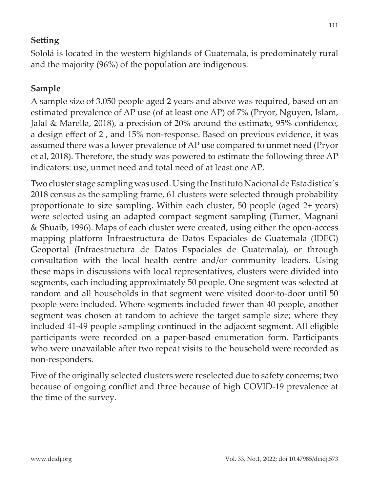### **Setting**

Sololá is located in the western highlands of Guatemala, is predominately rural and the majority (96%) of the population are indigenous.

## **Sample**

A sample size of 3,050 people aged 2 years and above was required, based on an estimated prevalence of AP use (of at least one AP) of 7% (Pryor, Nguyen, Islam, Jalal & Marella, 2018), a precision of 20% around the estimate, 95% confidence, a design effect of 2 , and 15% non-response. Based on previous evidence, it was assumed there was a lower prevalence of AP use compared to unmet need (Pryor et al, 2018). Therefore, the study was powered to estimate the following three AP indicators: use, unmet need and total need of at least one AP.

Two cluster stage sampling was used. Using the Instituto Nacional de Estadistica's 2018 census as the sampling frame, 61 clusters were selected through probability proportionate to size sampling. Within each cluster, 50 people (aged 2+ years) were selected using an adapted compact segment sampling (Turner, Magnani & Shuaib, 1996). Maps of each cluster were created, using either the open-access mapping platform Infraestructura de Datos Espaciales de Guatemala (IDEG) Geoportal (Infraestructura de Datos Espaciales de Guatemala), or through consultation with the local health centre and/or community leaders. Using these maps in discussions with local representatives, clusters were divided into segments, each including approximately 50 people. One segment was selected at random and all households in that segment were visited door-to-door until 50 people were included. Where segments included fewer than 40 people, another segment was chosen at random to achieve the target sample size; where they included 41-49 people sampling continued in the adjacent segment. All eligible participants were recorded on a paper-based enumeration form. Participants who were unavailable after two repeat visits to the household were recorded as non-responders.

Five of the originally selected clusters were reselected due to safety concerns; two because of ongoing conflict and three because of high COVID-19 prevalence at the time of the survey.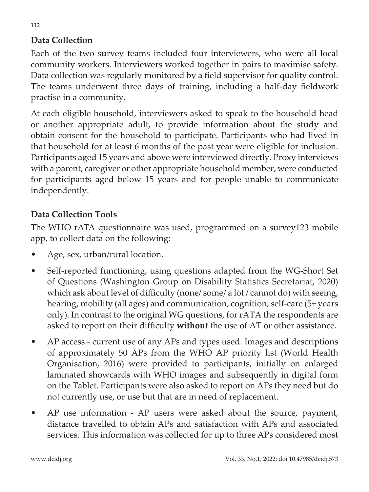#### **Data Collection**

Each of the two survey teams included four interviewers, who were all local community workers. Interviewers worked together in pairs to maximise safety. Data collection was regularly monitored by a field supervisor for quality control. The teams underwent three days of training, including a half-day fieldwork practise in a community.

At each eligible household, interviewers asked to speak to the household head or another appropriate adult, to provide information about the study and obtain consent for the household to participate. Participants who had lived in that household for at least 6 months of the past year were eligible for inclusion. Participants aged 15 years and above were interviewed directly. Proxy interviews with a parent, caregiver or other appropriate household member, were conducted for participants aged below 15 years and for people unable to communicate independently.

#### **Data Collection Tools**

The WHO rATA questionnaire was used, programmed on a survey123 mobile app, to collect data on the following:

- Age, sex, urban/rural location.
- Self-reported functioning, using questions adapted from the WG-Short Set of Questions (Washington Group on Disability Statistics Secretariat, 2020) which ask about level of difficulty (none/ some/ a lot/ cannot do) with seeing, hearing, mobility (all ages) and communication, cognition, self-care (5+ years only). In contrast to the original WG questions, for rATA the respondents are asked to report on their difficulty **without** the use of AT or other assistance.
- AP access current use of any APs and types used. Images and descriptions of approximately 50 APs from the WHO AP priority list (World Health Organisation, 2016) were provided to participants, initially on enlarged laminated showcards with WHO images and subsequently in digital form on the Tablet. Participants were also asked to report on APs they need but do not currently use, or use but that are in need of replacement.
- AP use information AP users were asked about the source, payment, distance travelled to obtain APs and satisfaction with APs and associated services. This information was collected for up to three APs considered most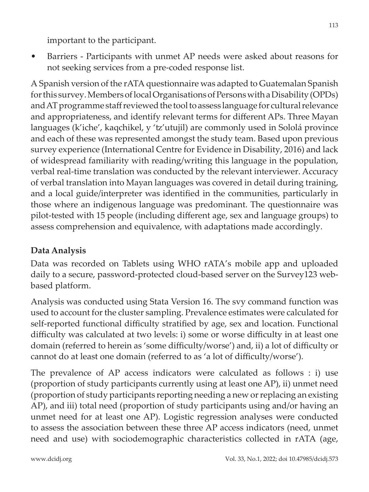important to the participant.

• Barriers - Participants with unmet AP needs were asked about reasons for not seeking services from a pre-coded response list.

A Spanish version of the rATA questionnaire was adapted to Guatemalan Spanish for this survey. Members of local Organisations of Persons with a Disability (OPDs) and AT programme staff reviewed the tool to assess language for cultural relevance and appropriateness, and identify relevant terms for different APs. Three Mayan languages (k'iche', kaqchikel, y 'tz'utujil) are commonly used in Sololá province and each of these was represented amongst the study team. Based upon previous survey experience (International Centre for Evidence in Disability, 2016) and lack of widespread familiarity with reading/writing this language in the population, verbal real-time translation was conducted by the relevant interviewer. Accuracy of verbal translation into Mayan languages was covered in detail during training, and a local guide/interpreter was identified in the communities, particularly in those where an indigenous language was predominant. The questionnaire was pilot-tested with 15 people (including different age, sex and language groups) to assess comprehension and equivalence, with adaptations made accordingly.

## **Data Analysis**

Data was recorded on Tablets using WHO rATA's mobile app and uploaded daily to a secure, password-protected cloud-based server on the Survey123 webbased platform.

Analysis was conducted using Stata Version 16. The svy command function was used to account for the cluster sampling. Prevalence estimates were calculated for self-reported functional difficulty stratified by age, sex and location. Functional difficulty was calculated at two levels: i) some or worse difficulty in at least one domain (referred to herein as 'some difficulty/worse') and, ii) a lot of difficulty or cannot do at least one domain (referred to as 'a lot of difficulty/worse').

The prevalence of AP access indicators were calculated as follows : i) use (proportion of study participants currently using at least one AP), ii) unmet need (proportion of study participants reporting needing a new or replacing an existing AP), and iii) total need (proportion of study participants using and/or having an unmet need for at least one AP). Logistic regression analyses were conducted to assess the association between these three AP access indicators (need, unmet need and use) with sociodemographic characteristics collected in rATA (age,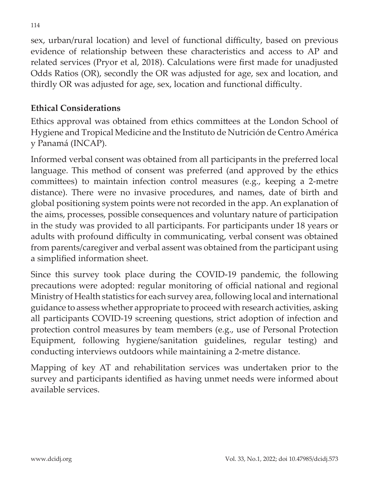sex, urban/rural location) and level of functional difficulty, based on previous evidence of relationship between these characteristics and access to AP and related services (Pryor et al, 2018). Calculations were first made for unadjusted Odds Ratios (OR), secondly the OR was adjusted for age, sex and location, and thirdly OR was adjusted for age, sex, location and functional difficulty.

#### **Ethical Considerations**

Ethics approval was obtained from ethics committees at the London School of Hygiene and Tropical Medicine and the Instituto de Nutrición de Centro América y Panamá (INCAP).

Informed verbal consent was obtained from all participants in the preferred local language. This method of consent was preferred (and approved by the ethics committees) to maintain infection control measures (e.g., keeping a 2-metre distance). There were no invasive procedures, and names, date of birth and global positioning system points were not recorded in the app. An explanation of the aims, processes, possible consequences and voluntary nature of participation in the study was provided to all participants. For participants under 18 years or adults with profound difficulty in communicating, verbal consent was obtained from parents/caregiver and verbal assent was obtained from the participant using a simplified information sheet.

Since this survey took place during the COVID-19 pandemic, the following precautions were adopted: regular monitoring of official national and regional Ministry of Health statistics for each survey area, following local and international guidance to assess whether appropriate to proceed with research activities, asking all participants COVID-19 screening questions, strict adoption of infection and protection control measures by team members (e.g., use of Personal Protection Equipment, following hygiene/sanitation guidelines, regular testing) and conducting interviews outdoors while maintaining a 2-metre distance.

Mapping of key AT and rehabilitation services was undertaken prior to the survey and participants identified as having unmet needs were informed about available services.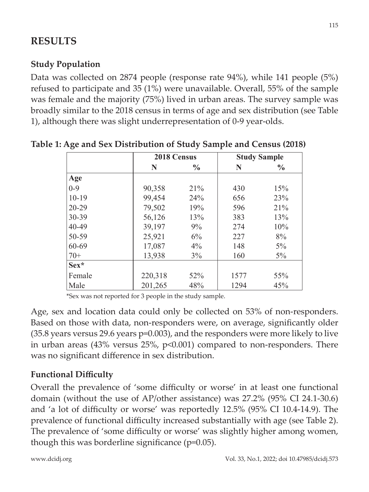## **RESULTS**

### **Study Population**

Data was collected on 2874 people (response rate 94%), while 141 people (5%) refused to participate and 35 (1%) were unavailable. Overall, 55% of the sample was female and the majority (75%) lived in urban areas. The survey sample was broadly similar to the 2018 census in terms of age and sex distribution (see Table 1), although there was slight underrepresentation of 0-9 year-olds.

|           | 2018 Census |       |      | <b>Study Sample</b> |
|-----------|-------------|-------|------|---------------------|
|           | N           | $\%$  | N    | $\frac{6}{6}$       |
| Age       |             |       |      |                     |
| $0 - 9$   | 90,358      | 21%   | 430  | 15%                 |
| $10-19$   | 99,454      | 24%   | 656  | 23%                 |
| $20 - 29$ | 79,502      | 19%   | 596  | 21%                 |
| $30 - 39$ | 56,126      | 13%   | 383  | 13%                 |
| 40-49     | 39,197      | $9\%$ | 274  | 10%                 |
| 50-59     | 25,921      | 6%    | 227  | 8%                  |
| 60-69     | 17,087      | $4\%$ | 148  | $5\%$               |
| $70+$     | 13,938      | 3%    | 160  | $5\%$               |
| Sex*      |             |       |      |                     |
| Female    | 220,318     | 52%   | 1577 | 55%                 |
| Male      | 201,265     | 48%   | 1294 | 45%                 |

**Table 1: Age and Sex Distribution of Study Sample and Census (2018)**

\*Sex was not reported for 3 people in the study sample.

Age, sex and location data could only be collected on 53% of non-responders. Based on those with data, non-responders were, on average, significantly older (35.8 years versus 29.6 years p=0.003), and the responders were more likely to live in urban areas (43% versus 25%, p<0.001) compared to non-responders. There was no significant difference in sex distribution.

### **Functional Difficulty**

Overall the prevalence of 'some difficulty or worse' in at least one functional domain (without the use of AP/other assistance) was 27.2% (95% CI 24.1-30.6) and 'a lot of difficulty or worse' was reportedly 12.5% (95% CI 10.4-14.9). The prevalence of functional difficulty increased substantially with age (see Table 2). The prevalence of 'some difficulty or worse' was slightly higher among women, though this was borderline significance (p=0.05).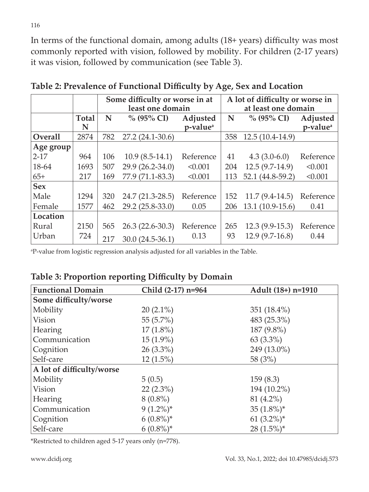In terms of the functional domain, among adults (18+ years) difficulty was most commonly reported with vision, followed by mobility. For children (2-17 years) it was vision, followed by communication (see Table 3).

|                |                   |     | Some difficulty or worse in at<br>least one domain |                                  |     | A lot of difficulty or worse in<br>at least one domain |                                  |
|----------------|-------------------|-----|----------------------------------------------------|----------------------------------|-----|--------------------------------------------------------|----------------------------------|
|                | <b>Total</b><br>N | N   | $\%$ (95% CI)                                      | Adjusted<br>p-value <sup>a</sup> | N   | $\%$ (95% CI)                                          | Adjusted<br>p-value <sup>a</sup> |
| <b>Overall</b> | 2874              | 782 | $27.2(24.1-30.6)$                                  |                                  | 358 | $12.5(10.4-14.9)$                                      |                                  |
| Age group      |                   |     |                                                    |                                  |     |                                                        |                                  |
| $2 - 17$       | 964               | 106 | $10.9(8.5-14.1)$                                   | Reference                        | 41  | $4.3(3.0-6.0)$                                         | Reference                        |
| 18-64          | 1693              | 507 | 29.9 (26.2-34.0)                                   | < 0.001                          | 204 | $12.5(9.7-14.9)$                                       | < 0.001                          |
| $65+$          | 217               | 169 | 77.9 (71.1-83.3)                                   | < 0.001                          | 113 | 52.1 (44.8-59.2)                                       | < 0.001                          |
| <b>Sex</b>     |                   |     |                                                    |                                  |     |                                                        |                                  |
| Male           | 1294              | 320 | 24.7 (21.3-28.5)                                   | Reference                        | 152 | $11.7(9.4-14.5)$                                       | Reference                        |
| Female         | 1577              | 462 | 29.2 (25.8-33.0)                                   | 0.05                             | 206 | $13.1(10.9-15.6)$                                      | 0.41                             |
| Location       |                   |     |                                                    |                                  |     |                                                        |                                  |
| Rural          | 2150              | 565 | $26.3(22.6-30.3)$                                  | Reference                        | 265 | $12.3(9.9-15.3)$                                       | Reference                        |
| Urban          | 724               | 217 | $30.0(24.5-36.1)$                                  | 0.13                             | 93  | $12.9(9.7-16.8)$                                       | 0.44                             |

**Table 2: Prevalence of Functional Difficulty by Age, Sex and Location**

a P-value from logistic regression analysis adjusted for all variables in the Table.

#### **Table 3: Proportion reporting Difficulty by Domain**

| <b>Functional Domain</b>  | Child (2-17) n=964 | Adult (18+) n=1910 |
|---------------------------|--------------------|--------------------|
| Some difficulty/worse     |                    |                    |
| Mobility                  | $20(2.1\%)$        | 351 (18.4%)        |
| Vision                    | 55 $(5.7\%)$       | 483 (25.3%)        |
| Hearing                   | $17(1.8\%)$        | 187 (9.8%)         |
| Communication             | $15(1.9\%)$        | $63(3.3\%)$        |
| Cognition                 | $26(3.3\%)$        | 249 (13.0%)        |
| Self-care                 | $12(1.5\%)$        | 58 (3%)            |
| A lot of difficulty/worse |                    |                    |
| Mobility                  | 5(0.5)             | 159(8.3)           |
| Vision                    | $22(2.3\%)$        | 194 (10.2%)        |
| Hearing                   | $8(0.8\%)$         | 81 (4.2%)          |
| Communication             | $9(1.2\%)^*$       | 35 $(1.8\%)^*$     |
| Cognition                 | $6(0.8\%)^*$       | 61 $(3.2\%)^*$     |
| Self-care                 | $6(0.8\%)^*$       | $28(1.5\%)^*$      |

\*Restricted to children aged 5-17 years only (n=778).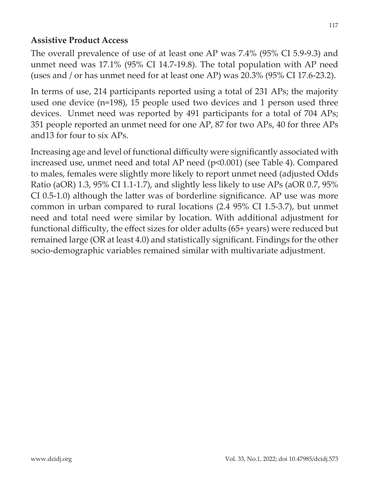#### **Assistive Product Access**

The overall prevalence of use of at least one AP was 7.4% (95% CI 5.9-9.3) and unmet need was 17.1% (95% CI 14.7-19.8). The total population with AP need (uses and / or has unmet need for at least one AP) was 20.3% (95% CI 17.6-23.2).

In terms of use, 214 participants reported using a total of 231 APs; the majority used one device (n=198), 15 people used two devices and 1 person used three devices. Unmet need was reported by 491 participants for a total of 704 APs; 351 people reported an unmet need for one AP, 87 for two APs, 40 for three APs and13 for four to six APs.

Increasing age and level of functional difficulty were significantly associated with increased use, unmet need and total AP need (p<0.001) (see Table 4). Compared to males, females were slightly more likely to report unmet need (adjusted Odds Ratio (aOR) 1.3, 95% CI 1.1-1.7), and slightly less likely to use APs (aOR 0.7, 95% CI 0.5-1.0) although the latter was of borderline significance. AP use was more common in urban compared to rural locations (2.4 95% CI 1.5-3.7), but unmet need and total need were similar by location. With additional adjustment for functional difficulty, the effect sizes for older adults (65+ years) were reduced but remained large (OR at least 4.0) and statistically significant. Findings for the other socio-demographic variables remained similar with multivariate adjustment.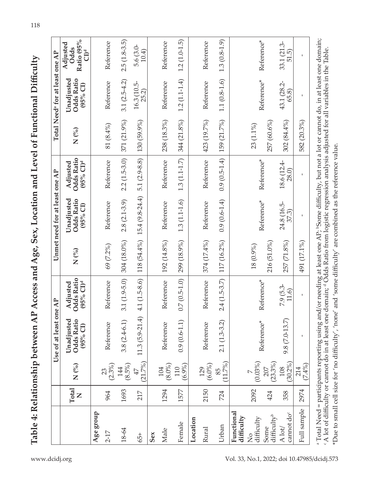| ラン・ーー                                                        |
|--------------------------------------------------------------|
| A Access and Age, Sex, Location and Level of Functional<br>ļ |
|                                                              |
| l                                                            |
|                                                              |
|                                                              |
|                                                              |
|                                                              |
|                                                              |
|                                                              |
| I                                                            |
| <b>ATTA AFTAION</b>                                          |
| י ביידו<br>I                                                 |
|                                                              |
|                                                              |
|                                                              |

|                                  |                       |                      | Use of at least one AP                                                                                                                                               |                                        |             | Unmet need for at least one AP                                     |                                                           |             | Total Need <sup>®</sup> for at least one AP |                                                          |
|----------------------------------|-----------------------|----------------------|----------------------------------------------------------------------------------------------------------------------------------------------------------------------|----------------------------------------|-------------|--------------------------------------------------------------------|-----------------------------------------------------------|-------------|---------------------------------------------|----------------------------------------------------------|
|                                  | Total<br>$\mathsf{Z}$ | $N$ (%)              | Unadjusted<br><b>Odds Ratio</b><br>(95% C1)                                                                                                                          | Odds Ratio<br>$(95% CI)^d$<br>Adjusted | $N($ %)     | Unadjusted<br>Odds Ratio<br>$(95%$ CI)                             | <b>Odds Ratio</b><br>$(95\%$ CI) <sup>d</sup><br>Adjusted | N(%)        | Unadjusted<br>Odds Ratio<br>(95% C1)        | Ratio (95%<br>Adjusted<br><b>Odds</b><br>CD <sup>d</sup> |
| Age group                        |                       |                      |                                                                                                                                                                      |                                        |             |                                                                    |                                                           |             |                                             |                                                          |
| $2 - 17$                         | 964                   | $\frac{23}{(2.3\%)}$ | Reference                                                                                                                                                            | Reference                              | 69 (7.2%)   | Reference                                                          | Reference                                                 | 81 (8.4%)   | Reference                                   | Reference                                                |
| 18-64                            | 1693                  | $(8.5\%)$<br>144     | $3.8(2.4-6.1)$                                                                                                                                                       | $3.1(1.9 - 5.0)$                       | 304 (18.0%) | $2.8(2.1-3.9)$                                                     | $2.2(1.5-3.0)$                                            | 371 (21.9%) | $3.1(2.5-4.2)$                              | $2.5(1.8-3.5)$                                           |
| 65+                              | 217                   | (21.7%)<br>47        |                                                                                                                                                                      |                                        |             | 11.3 $(5.9-21.4)$ 4.1 $(1.5-8.6)$ 118 $(54.4\%)$ 15.4 $(9.8-24.4)$ | $5.1(2.9-8.8)$                                            | 130 (59.9%) | 16.3 (10.5-<br>25.2)                        | 5.6 (3.0-<br>10.4)                                       |
| Sex                              |                       |                      |                                                                                                                                                                      |                                        |             |                                                                    |                                                           |             |                                             |                                                          |
| Male                             | 1294                  | $(8.0\%)$<br>104     | Reference                                                                                                                                                            | Reference                              | 192 (14.8%) | Reference                                                          | Reference                                                 | 238 (18.3%) | Reference                                   | Reference                                                |
| Female                           | 1577                  | (6.9%)<br>110        | $0.9(0.6 - 1.1)$                                                                                                                                                     | $0.7(0.5-1.0)$                         | 299 (18.9%) | $1.3(1.1-1.6)$                                                     | $1.3(1.1-1.7)$                                            | 344 (21.8%) | $1.2(1.1-1.4)$                              | $1.2(1.0-1.5)$                                           |
| Location                         |                       |                      |                                                                                                                                                                      |                                        |             |                                                                    |                                                           |             |                                             |                                                          |
| Rural                            | 2150                  | $(6.0\%)$<br>129     | Reference                                                                                                                                                            | Reference                              | 374 (17.4%) | Reference                                                          | Reference                                                 | 423 (19.7%) | Reference                                   | Reference                                                |
| Urban                            | 724                   | 1.7%<br>85           | $2.1(1.3-3.2)$                                                                                                                                                       | $2.4(1.5-3.7)$                         | 117 (16.2%) | $0.9(0.6-1.4)$                                                     | $0.9(0.5-1.4)$                                            | 159 (21.7%) | $1.1(0.8-1.6)$                              | $1.3(0.8-1.9)$                                           |
| Functional<br>difficulty         |                       |                      |                                                                                                                                                                      |                                        |             |                                                                    |                                                           |             |                                             |                                                          |
| difficulty<br>$\frac{1}{2}$      | 2092                  | (0.03%)              | Reference*                                                                                                                                                           | Reference*                             | $18(0.9\%)$ | Reference*                                                         | Reference*                                                | 23 (1.1%)   | Reference*                                  | Reference*                                               |
| difficulty <sup>b</sup><br>Some  | 424                   | $207$<br>(23.3%)     |                                                                                                                                                                      |                                        | 216 (51.0%) |                                                                    |                                                           | 257 (60.6%) |                                             |                                                          |
| cannot do <sup>c</sup><br>A lot/ | 358                   | $(30.2\%)$<br>108    | $9.8(7.0-13.7)$                                                                                                                                                      | $7.9(5.3-$<br>11.6)                    | 257 (71.8%) | 24.8 (16.5-<br>37.3)                                               | 18.6 (12.4-<br>28.0)                                      | 302 (84.4%) | 43.1 (28.2-<br>65.8)                        | 33.1 (21.3-<br>51.5)                                     |
| Full sample                      | 2974                  | 7.4%)                |                                                                                                                                                                      |                                        | 491 (17.1%) |                                                                    |                                                           | 582 (20.3%) |                                             |                                                          |
|                                  |                       |                      | $^{\circ}$ Total Need = participants reporting using and/or needing at least one AP; $^{\circ}$ Some difficulty, but not a lot or cannot do, in at least one domain; |                                        |             |                                                                    |                                                           |             |                                             |                                                          |

A lot of difficulty or cannot do in at least one domain; <sup>a</sup> Odds Ratio from logistic regression analysis adjusted for all variables in the Table. c A lot of difficulty or cannot do in at least one domain; d Odds Ratio from logistic regression analysis adjusted for all variables in the Table. \*Due to small cell size for 'no difficulty', 'none' and 'some difficulty' are combined as the reference value. \*Due to small cell size for 'no difficulty', 'none' and 'some difficulty' are combined as the reference value.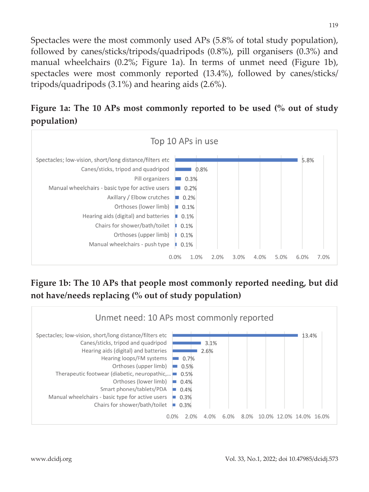Spectacles were the most commonly used APs (5.8% of total study population), followed by canes/sticks/tripods/quadripods (0.8%), pill organisers (0.3%) and manual wheelchairs (0.2%; Figure 1a). In terms of unmet need (Figure 1b), spectacles were most commonly reported (13.4%), followed by canes/sticks/ tripods/quadripods (3.1%) and hearing aids (2.6%).

## **Figure 1a: The 10 APs most commonly reported to be used (% out of study population)**



### **Figure 1b: The 10 APs that people most commonly reported needing, but did not have/needs replacing (% out of study population)**

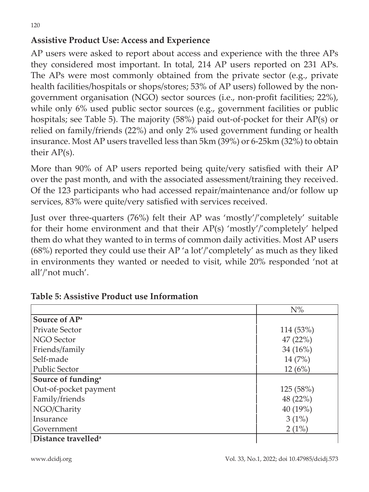AP users were asked to report about access and experience with the three APs they considered most important. In total, 214 AP users reported on 231 APs. The APs were most commonly obtained from the private sector (e.g., private health facilities/hospitals or shops/stores; 53% of AP users) followed by the nongovernment organisation (NGO) sector sources (i.e., non-profit facilities; 22%), while only 6% used public sector sources (e.g., government facilities or public hospitals; see Table 5). The majority (58%) paid out-of-pocket for their AP(s) or relied on family/friends (22%) and only 2% used government funding or health insurance. Most AP users travelled less than 5km (39%) or 6-25km (32%) to obtain their AP(s).

More than 90% of AP users reported being quite/very satisfied with their AP over the past month, and with the associated assessment/training they received. Of the 123 participants who had accessed repair/maintenance and/or follow up services, 83% were quite/very satisfied with services received.

Just over three-quarters (76%) felt their AP was 'mostly'/'completely' suitable for their home environment and that their AP(s) 'mostly'/'completely' helped them do what they wanted to in terms of common daily activities. Most AP users (68%) reported they could use their AP 'a lot'/'completely' as much as they liked in environments they wanted or needed to visit, while 20% responded 'not at all'/'not much'.

|                                 | $N\%$      |
|---------------------------------|------------|
| Source of AP <sup>a</sup>       |            |
| <b>Private Sector</b>           | 114 (53%)  |
| <b>NGO Sector</b>               | 47(22%)    |
| Friends/family                  | 34 $(16%)$ |
| Self-made                       | 14(7%)     |
| <b>Public Sector</b>            | 12(6%)     |
| Source of funding <sup>a</sup>  |            |
| Out-of-pocket payment           | 125 (58%)  |
| Family/friends                  | 48 (22%)   |
| NGO/Charity                     | 40 (19%)   |
| Insurance                       | 3(1%)      |
| Government                      | 2(1%)      |
| Distance travelled <sup>a</sup> |            |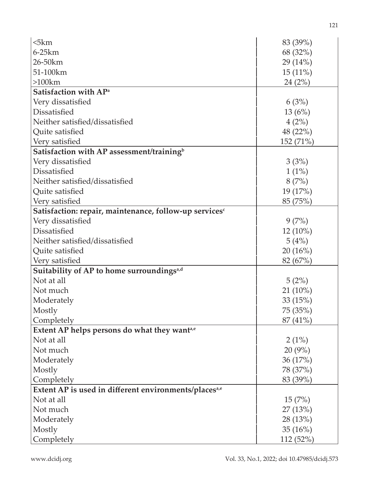| 5km                                                               | 83 (39%)   |
|-------------------------------------------------------------------|------------|
| $6-25km$                                                          | 68 (32%)   |
| 26-50km                                                           | 29 (14%)   |
| 51-100km                                                          | $15(11\%)$ |
| $>100$ km                                                         | 24(2%)     |
| Satisfaction with AP <sup>a</sup>                                 |            |
| Very dissatisfied                                                 | 6(3%)      |
| Dissatisfied                                                      | 13(6%)     |
| Neither satisfied/dissatisfied                                    | 4(2%)      |
| Quite satisfied                                                   | 48 (22%)   |
| Very satisfied                                                    | 152 (71%)  |
| Satisfaction with AP assessment/training <sup>b</sup>             |            |
| Very dissatisfied                                                 | 3(3%)      |
| Dissatisfied                                                      | $1(1\%)$   |
| Neither satisfied/dissatisfied                                    | 8(7%)      |
| Quite satisfied                                                   | 19 (17%)   |
| Very satisfied                                                    | 85 (75%)   |
| Satisfaction: repair, maintenance, follow-up servicesc            |            |
| Very dissatisfied                                                 | 9(7%)      |
| Dissatisfied                                                      | $12(10\%)$ |
| Neither satisfied/dissatisfied                                    | 5(4%)      |
| Quite satisfied                                                   | 20(16%)    |
| Very satisfied                                                    | 82 (67%)   |
| Suitability of AP to home surroundings <sup>a,d</sup>             |            |
| Not at all                                                        | 5(2%)      |
| Not much                                                          | $21(10\%)$ |
| Moderately                                                        | 33(15%)    |
| Mostly                                                            | 75 (35%)   |
| Completely                                                        | 87 (41%)   |
| Extent AP helps persons do what they want <sup>a,e</sup>          |            |
| Not at all                                                        | $2(1\%)$   |
| Not much                                                          | 20(9%)     |
| Moderately                                                        | 36 (17%)   |
| Mostly                                                            | 78 (37%)   |
| Completely                                                        | 83 (39%)   |
| Extent AP is used in different environments/places <sup>a,e</sup> |            |
| Not at all                                                        | 15(7%)     |
| Not much                                                          | 27 (13%)   |
| Moderately                                                        | 28 (13%)   |
| Mostly                                                            | 35 $(16%)$ |
| Completely                                                        | 112 (52%)  |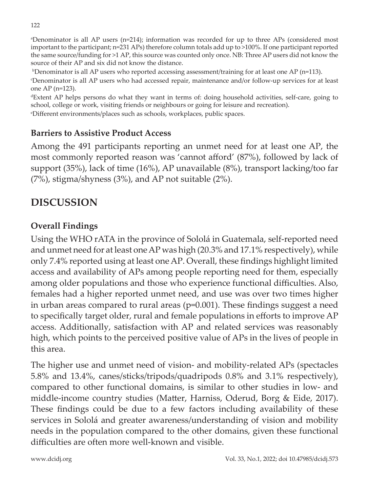122

a Denominator is all AP users (n=214); information was recorded for up to three APs (considered most important to the participant; n=231 APs) therefore column totals add up to >100%. If one participant reported the same source/funding for >1 AP, this source was counted only once. NB: Three AP users did not know the source of their AP and six did not know the distance.

 $^{\rm b}$ Denominator is all AP users who reported accessing assessment/training for at least one AP (n=113).

c Denominator is all AP users who had accessed repair, maintenance and/or follow-up services for at least one AP (n=123).

<sup>d</sup>Extent AP helps persons do what they want in terms of: doing household activities, self-care, going to school, college or work, visiting friends or neighbours or going for leisure and recreation).

e Different environments/places such as schools, workplaces, public spaces.

#### **Barriers to Assistive Product Access**

Among the 491 participants reporting an unmet need for at least one AP, the most commonly reported reason was 'cannot afford' (87%), followed by lack of support (35%), lack of time (16%), AP unavailable (8%), transport lacking/too far (7%), stigma/shyness (3%), and AP not suitable (2%).

## **DISCUSSION**

### **Overall Findings**

Using the WHO rATA in the province of Sololá in Guatemala, self-reported need and unmet need for at least one AP was high (20.3% and 17.1% respectively), while only 7.4% reported using at least one AP. Overall, these findings highlight limited access and availability of APs among people reporting need for them, especially among older populations and those who experience functional difficulties. Also, females had a higher reported unmet need, and use was over two times higher in urban areas compared to rural areas (p=0.001). These findings suggest a need to specifically target older, rural and female populations in efforts to improve AP access. Additionally, satisfaction with AP and related services was reasonably high, which points to the perceived positive value of APs in the lives of people in this area.

The higher use and unmet need of vision- and mobility-related APs (spectacles 5.8% and 13.4%, canes/sticks/tripods/quadripods 0.8% and 3.1% respectively), compared to other functional domains, is similar to other studies in low- and middle-income country studies (Matter, Harniss, Oderud, Borg & Eide, 2017). These findings could be due to a few factors including availability of these services in Sololá and greater awareness/understanding of vision and mobility needs in the population compared to the other domains, given these functional difficulties are often more well-known and visible.

www.dcidj.org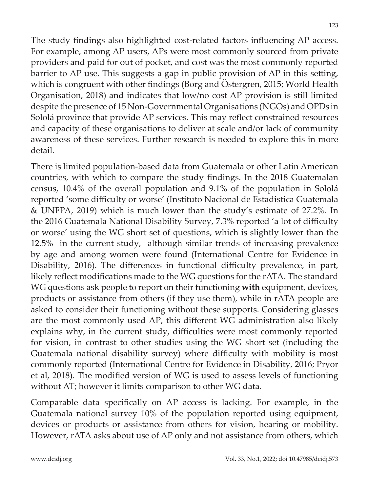The study findings also highlighted cost-related factors influencing AP access. For example, among AP users, APs were most commonly sourced from private providers and paid for out of pocket, and cost was the most commonly reported barrier to AP use. This suggests a gap in public provision of AP in this setting, which is congruent with other findings (Borg and Östergren, 2015; World Health Organisation, 2018) and indicates that low/no cost AP provision is still limited despite the presence of 15 Non-Governmental Organisations (NGOs) and OPDs in Sololá province that provide AP services. This may reflect constrained resources and capacity of these organisations to deliver at scale and/or lack of community awareness of these services. Further research is needed to explore this in more detail.

There is limited population-based data from Guatemala or other Latin American countries, with which to compare the study findings. In the 2018 Guatemalan census, 10.4% of the overall population and 9.1% of the population in Sololá reported 'some difficulty or worse' (Instituto Nacional de Estadistica Guatemala & UNFPA, 2019) which is much lower than the study's estimate of 27.2%. In the 2016 Guatemala National Disability Survey, 7.3% reported 'a lot of difficulty or worse' using the WG short set of questions, which is slightly lower than the 12.5% in the current study, although similar trends of increasing prevalence by age and among women were found (International Centre for Evidence in Disability, 2016). The differences in functional difficulty prevalence, in part, likely reflect modifications made to the WG questions for the rATA. The standard WG questions ask people to report on their functioning **with** equipment, devices, products or assistance from others (if they use them), while in rATA people are asked to consider their functioning without these supports. Considering glasses are the most commonly used AP, this different WG administration also likely explains why, in the current study, difficulties were most commonly reported for vision, in contrast to other studies using the WG short set (including the Guatemala national disability survey) where difficulty with mobility is most commonly reported (International Centre for Evidence in Disability, 2016; Pryor et al, 2018). The modified version of WG is used to assess levels of functioning without AT; however it limits comparison to other WG data.

Comparable data specifically on AP access is lacking. For example, in the Guatemala national survey 10% of the population reported using equipment, devices or products or assistance from others for vision, hearing or mobility. However, rATA asks about use of AP only and not assistance from others, which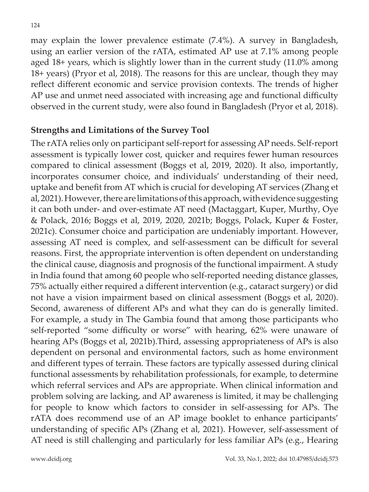may explain the lower prevalence estimate (7.4%). A survey in Bangladesh, using an earlier version of the rATA, estimated AP use at 7.1% among people aged 18+ years, which is slightly lower than in the current study (11.0% among 18+ years) (Pryor et al, 2018). The reasons for this are unclear, though they may reflect different economic and service provision contexts. The trends of higher AP use and unmet need associated with increasing age and functional difficulty observed in the current study, were also found in Bangladesh (Pryor et al, 2018).

#### **Strengths and Limitations of the Survey Tool**

The rATA relies only on participant self-report for assessing AP needs. Self-report assessment is typically lower cost, quicker and requires fewer human resources compared to clinical assessment (Boggs et al, 2019, 2020). It also, importantly, incorporates consumer choice, and individuals' understanding of their need, uptake and benefit from AT which is crucial for developing AT services (Zhang et al, 2021). However, there are limitations of this approach, with evidence suggesting it can both under- and over-estimate AT need (Mactaggart, Kuper, Murthy, Oye & Polack, 2016; Boggs et al, 2019, 2020, 2021b; Boggs, Polack, Kuper & Foster, 2021c). Consumer choice and participation are undeniably important. However, assessing AT need is complex, and self-assessment can be difficult for several reasons. First, the appropriate intervention is often dependent on understanding the clinical cause, diagnosis and prognosis of the functional impairment. A study in India found that among 60 people who self-reported needing distance glasses, 75% actually either required a different intervention (e.g., cataract surgery) or did not have a vision impairment based on clinical assessment (Boggs et al, 2020). Second, awareness of different APs and what they can do is generally limited. For example, a study in The Gambia found that among those participants who self-reported "some difficulty or worse" with hearing, 62% were unaware of hearing APs (Boggs et al, 2021b).Third, assessing appropriateness of APs is also dependent on personal and environmental factors, such as home environment and different types of terrain. These factors are typically assessed during clinical functional assessments by rehabilitation professionals, for example, to determine which referral services and APs are appropriate. When clinical information and problem solving are lacking, and AP awareness is limited, it may be challenging for people to know which factors to consider in self-assessing for APs. The rATA does recommend use of an AP image booklet to enhance participants' understanding of specific APs (Zhang et al, 2021). However, self-assessment of AT need is still challenging and particularly for less familiar APs (e.g., Hearing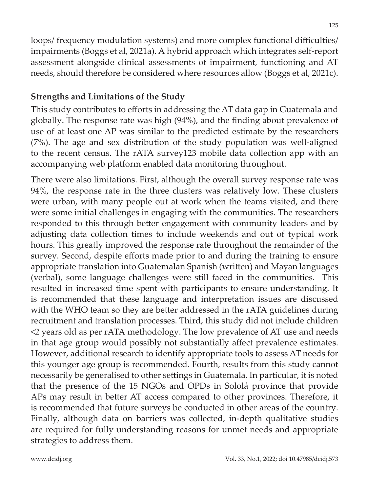loops/ frequency modulation systems) and more complex functional difficulties/

impairments (Boggs et al, 2021a). A hybrid approach which integrates self-report assessment alongside clinical assessments of impairment, functioning and AT needs, should therefore be considered where resources allow (Boggs et al, 2021c).

### **Strengths and Limitations of the Study**

This study contributes to efforts in addressing the AT data gap in Guatemala and globally. The response rate was high (94%), and the finding about prevalence of use of at least one AP was similar to the predicted estimate by the researchers (7%). The age and sex distribution of the study population was well-aligned to the recent census. The rATA survey123 mobile data collection app with an accompanying web platform enabled data monitoring throughout.

There were also limitations. First, although the overall survey response rate was 94%, the response rate in the three clusters was relatively low. These clusters were urban, with many people out at work when the teams visited, and there were some initial challenges in engaging with the communities. The researchers responded to this through better engagement with community leaders and by adjusting data collection times to include weekends and out of typical work hours. This greatly improved the response rate throughout the remainder of the survey. Second, despite efforts made prior to and during the training to ensure appropriate translation into Guatemalan Spanish (written) and Mayan languages (verbal), some language challenges were still faced in the communities. This resulted in increased time spent with participants to ensure understanding. It is recommended that these language and interpretation issues are discussed with the WHO team so they are better addressed in the rATA guidelines during recruitment and translation processes. Third, this study did not include children <2 years old as per rATA methodology. The low prevalence of AT use and needs in that age group would possibly not substantially affect prevalence estimates. However, additional research to identify appropriate tools to assess AT needs for this younger age group is recommended. Fourth, results from this study cannot necessarily be generalised to other settings in Guatemala. In particular, it is noted that the presence of the 15 NGOs and OPDs in Sololá province that provide APs may result in better AT access compared to other provinces. Therefore, it is recommended that future surveys be conducted in other areas of the country. Finally, although data on barriers was collected, in-depth qualitative studies are required for fully understanding reasons for unmet needs and appropriate strategies to address them.

www.dcidj.org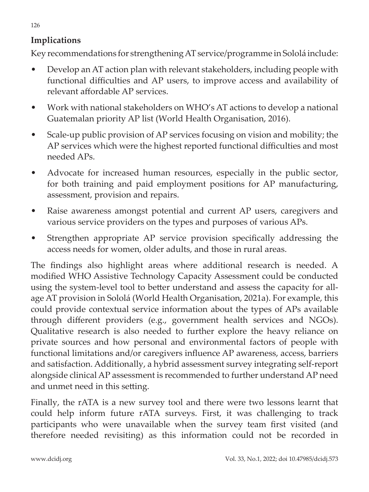### **Implications**

Key recommendations for strengthening AT service/programme in Sololá include:

- Develop an AT action plan with relevant stakeholders, including people with functional difficulties and AP users, to improve access and availability of relevant affordable AP services.
- Work with national stakeholders on WHO's AT actions to develop a national Guatemalan priority AP list (World Health Organisation, 2016).
- Scale-up public provision of AP services focusing on vision and mobility; the AP services which were the highest reported functional difficulties and most needed APs.
- Advocate for increased human resources, especially in the public sector, for both training and paid employment positions for AP manufacturing, assessment, provision and repairs.
- Raise awareness amongst potential and current AP users, caregivers and various service providers on the types and purposes of various APs.
- Strengthen appropriate AP service provision specifically addressing the access needs for women, older adults, and those in rural areas.

The findings also highlight areas where additional research is needed. A modified WHO Assistive Technology Capacity Assessment could be conducted using the system-level tool to better understand and assess the capacity for allage AT provision in Sololá (World Health Organisation, 2021a). For example, this could provide contextual service information about the types of APs available through different providers (e.g., government health services and NGOs). Qualitative research is also needed to further explore the heavy reliance on private sources and how personal and environmental factors of people with functional limitations and/or caregivers influence AP awareness, access, barriers and satisfaction. Additionally, a hybrid assessment survey integrating self-report alongside clinical AP assessment is recommended to further understand AP need and unmet need in this setting.

Finally, the rATA is a new survey tool and there were two lessons learnt that could help inform future rATA surveys. First, it was challenging to track participants who were unavailable when the survey team first visited (and therefore needed revisiting) as this information could not be recorded in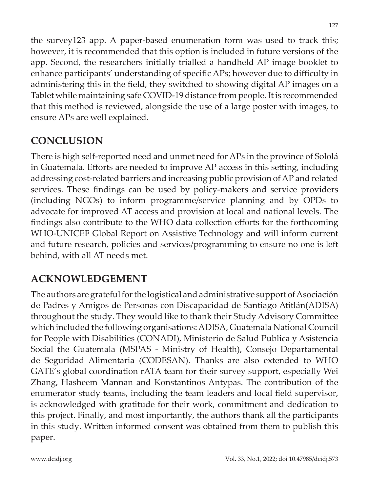the survey123 app. A paper-based enumeration form was used to track this; however, it is recommended that this option is included in future versions of the app. Second, the researchers initially trialled a handheld AP image booklet to enhance participants' understanding of specific APs; however due to difficulty in administering this in the field, they switched to showing digital AP images on a Tablet while maintaining safe COVID-19 distance from people. It is recommended that this method is reviewed, alongside the use of a large poster with images, to ensure APs are well explained.

## **CONCLUSION**

There is high self-reported need and unmet need for APs in the province of Sololá in Guatemala. Efforts are needed to improve AP access in this setting, including addressing cost-related barriers and increasing public provision of AP and related services. These findings can be used by policy-makers and service providers (including NGOs) to inform programme/service planning and by OPDs to advocate for improved AT access and provision at local and national levels. The findings also contribute to the WHO data collection efforts for the forthcoming WHO-UNICEF Global Report on Assistive Technology and will inform current and future research, policies and services/programming to ensure no one is left behind, with all AT needs met.

## **ACKNOWLEDGEMENT**

The authors are grateful for the logistical and administrative support of Asociación de Padres y Amigos de Personas con Discapacidad de Santiago Atitlán(ADISA) throughout the study. They would like to thank their Study Advisory Committee which included the following organisations: ADISA, Guatemala National Council for People with Disabilities (CONADI), Ministerio de Salud Publica y Asistencia Social the Guatemala (MSPAS - Ministry of Health), Consejo Departamental de Seguridad Alimentaria (CODESAN). Thanks are also extended to WHO GATE's global coordination rATA team for their survey support, especially Wei Zhang, Hasheem Mannan and Konstantinos Antypas. The contribution of the enumerator study teams, including the team leaders and local field supervisor, is acknowledged with gratitude for their work, commitment and dedication to this project. Finally, and most importantly, the authors thank all the participants in this study. Written informed consent was obtained from them to publish this paper.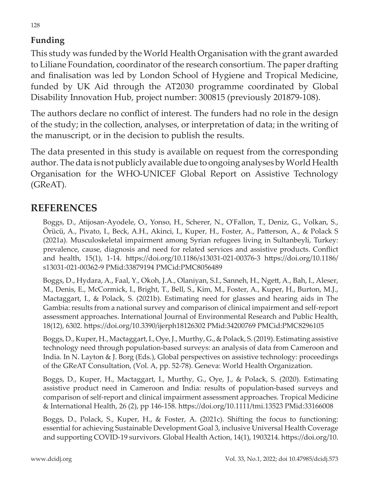### **Funding**

This study was funded by the World Health Organisation with the grant awarded to Liliane Foundation, coordinator of the research consortium. The paper drafting and finalisation was led by London School of Hygiene and Tropical Medicine, funded by UK Aid through the AT2030 programme coordinated by Global Disability Innovation Hub, project number: 300815 (previously 201879-108).

The authors declare no conflict of interest. The funders had no role in the design of the study; in the collection, analyses, or interpretation of data; in the writing of the manuscript, or in the decision to publish the results.

The data presented in this study is available on request from the corresponding author. The data is not publicly available due to ongoing analyses by World Health Organisation for the WHO-UNICEF Global Report on Assistive Technology (GReAT).

### **REFERENCES**

Boggs, D., Atijosan-Ayodele, O., Yonso, H., Scherer, N., O'Fallon, T., Deniz, G., Volkan, S., Örücü, A., Pivato, I., Beck, A.H., Akinci, I., Kuper, H., Foster, A., Patterson, A., & Polack S (2021a). Musculoskeletal impairment among Syrian refugees living in Sultanbeyli, Turkey: prevalence, cause, diagnosis and need for related services and assistive products. Conflict and health, 15(1), 1-14. https://doi.org/10.1186/s13031-021-00376-3 https://doi.org/10.1186/ s13031-021-00362-9 PMid:33879194 PMCid:PMC8056489

Boggs, D., Hydara, A., Faal, Y., Okoh, J.A., Olaniyan, S.I., Sanneh, H., Ngett, A., Bah, I., Aleser, M., Denis, E., McCormick, I., Bright, T., Bell, S., Kim, M., Foster, A., Kuper, H., Burton, M.J., Mactaggart, I., & Polack, S. (2021b). Estimating need for glasses and hearing aids in The Gambia: results from a national survey and comparison of clinical impairment and self-report assessment approaches. International Journal of Environmental Research and Public Health, 18(12), 6302. https://doi.org/10.3390/ijerph18126302 PMid:34200769 PMCid:PMC8296105

Boggs, D., Kuper, H., Mactaggart, I., Oye, J., Murthy, G., & Polack, S. (2019). Estimating assistive technology need through population-based surveys: an analysis of data from Cameroon and India. In N. Layton & J. Borg (Eds.), Global perspectives on assistive technology: proceedings of the GReAT Consultation, (Vol. A, pp. 52-78). Geneva: World Health Organization.

Boggs, D., Kuper, H., Mactaggart, I., Murthy, G., Oye, J., & Polack, S. (2020). Estimating assistive product need in Cameroon and India: results of population-based surveys and comparison of self-report and clinical impairment assessment approaches. Tropical Medicine & International Health, 26 (2), pp 146-158. https://doi.org/10.1111/tmi.13523 PMid:33166008

Boggs, D., Polack, S., Kuper, H., & Foster, A. (2021c). Shifting the focus to functioning: essential for achieving Sustainable Development Goal 3, inclusive Universal Health Coverage and supporting COVID-19 survivors. Global Health Action, 14(1), 1903214. https://doi.org/10.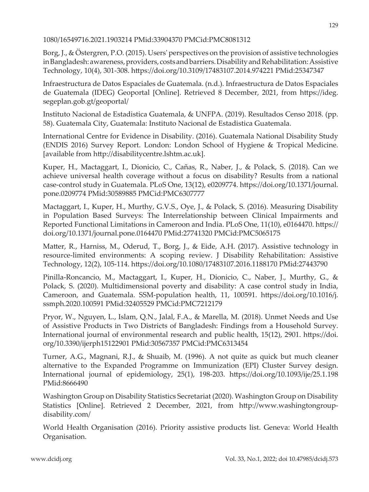#### 1080/16549716.2021.1903214 PMid:33904370 PMCid:PMC8081312

Borg, J., & Östergren, P.O. (2015). Users' perspectives on the provision of assistive technologies in Bangladesh: awareness, providers, costs and barriers. Disability and Rehabilitation: Assistive Technology, 10(4), 301-308. https://doi.org/10.3109/17483107.2014.974221 PMid:25347347

Infraestructura de Datos Espaciales de Guatemala. (n.d.). Infraestructura de Datos Espaciales de Guatemala (IDEG) Geoportal [Online]. Retrieved 8 December, 2021, from https://ideg. segeplan.gob.gt/geoportal/

Instituto Nacional de Estadistica Guatemala, & UNFPA. (2019). Resultados Censo 2018. (pp. 58). Guatemala City, Guatemala: Instituto Nacional de Estadistica Guatemala.

International Centre for Evidence in Disability. (2016). Guatemala National Disability Study (ENDIS 2016) Survey Report. London: London School of Hygiene & Tropical Medicine. [available from http://disabilitycentre.lshtm.ac.uk].

Kuper, H., Mactaggart, I., Dionicio, C., Cañas, R., Naber, J., & Polack, S. (2018). Can we achieve universal health coverage without a focus on disability? Results from a national case-control study in Guatemala. PLoS One, 13(12), e0209774. https://doi.org/10.1371/journal. pone.0209774 PMid:30589885 PMCid:PMC6307777

Mactaggart, I., Kuper, H., Murthy, G.V.S., Oye, J., & Polack, S. (2016). Measuring Disability in Population Based Surveys: The Interrelationship between Clinical Impairments and Reported Functional Limitations in Cameroon and India. PLoS One, 11(10), e0164470. https:// doi.org/10.1371/journal.pone.0164470 PMid:27741320 PMCid:PMC5065175

Matter, R., Harniss, M., Oderud, T., Borg, J., & Eide, A.H. (2017). Assistive technology in resource-limited environments: A scoping review. J Disability Rehabilitation: Assistive Technology, 12(2), 105-114. https://doi.org/10.1080/17483107.2016.1188170 PMid:27443790

Pinilla-Roncancio, M., Mactaggart, I., Kuper, H., Dionicio, C., Naber, J., Murthy, G., & Polack, S. (2020). Multidimensional poverty and disability: A case control study in India, Cameroon, and Guatemala. SSM-population health, 11, 100591. https://doi.org/10.1016/j. ssmph.2020.100591 PMid:32405529 PMCid:PMC7212179

Pryor, W., Nguyen, L., Islam, Q.N., Jalal, F.A., & Marella, M. (2018). Unmet Needs and Use of Assistive Products in Two Districts of Bangladesh: Findings from a Household Survey. International journal of environmental research and public health, 15(12), 2901. https://doi. org/10.3390/ijerph15122901 PMid:30567357 PMCid:PMC6313454

Turner, A.G., Magnani, R.J., & Shuaib, M. (1996). A not quite as quick but much cleaner alternative to the Expanded Programme on Immunization (EPI) Cluster Survey design. International journal of epidemiology, 25(1), 198-203. https://doi.org/10.1093/ije/25.1.198 PMid:8666490

Washington Group on Disability Statistics Secretariat (2020). Washington Group on Disability Statistics [Online]. Retrieved 2 December, 2021, from http://www.washingtongroupdisability.com/

World Health Organisation (2016). Priority assistive products list. Geneva: World Health Organisation.